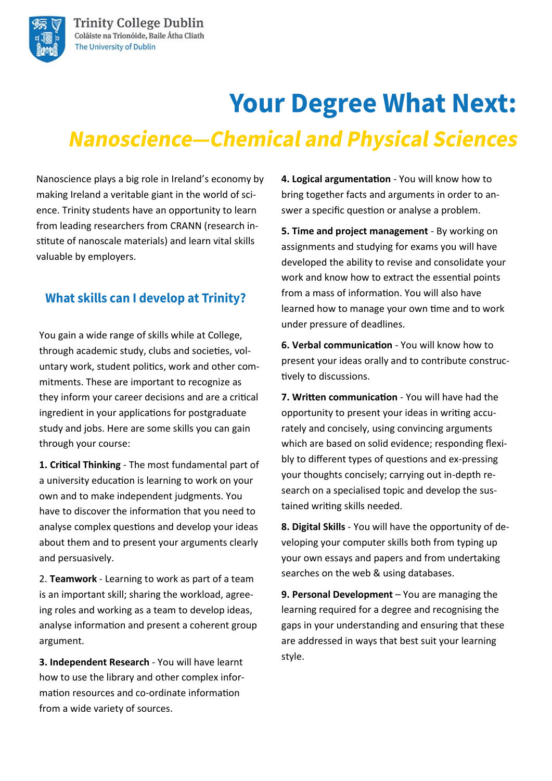# **Your Degree What Next: Nanoscience-Chemical and Physical Sciences**

Nanoscience plays a big role in Ireland's economy by making Ireland a veritable giant in the world of science. Trinity students have an opportunity to learn from leading researchers from CRANN (research institute of nanoscale materials) and learn vital skills valuable by employers.

### **What skills can I develop at Trinity?**

You gain a wide range of skills while at College, through academic study, clubs and societies, voluntary work, student politics, work and other commitments. These are important to recognize as they inform your career decisions and are a critical ingredient in your applications for postgraduate study and jobs. Here are some skills you can gain through your course:

**1. Critical Thinking** - The most fundamental part of a university education is learning to work on your own and to make independent judgments. You have to discover the information that you need to analyse complex questions and develop your ideas about them and to present your arguments clearly and persuasively.

2. **Teamwork** - Learning to work as part of a team is an important skill; sharing the workload, agreeing roles and working as a team to develop ideas, analyse information and present a coherent group argument.

**3. Independent Research** - You will have learnt how to use the library and other complex information resources and co-ordinate information from a wide variety of sources.

**4. Logical argumentation** - You will know how to bring together facts and arguments in order to answer a specific question or analyse a problem.

**5. Time and project management** - By working on assignments and studying for exams you will have developed the ability to revise and consolidate your work and know how to extract the essential points from a mass of information. You will also have learned how to manage your own time and to work under pressure of deadlines.

**6. Verbal communication** - You will know how to present your ideas orally and to contribute constructively to discussions.

**7. Written communication** - You will have had the opportunity to present your ideas in writing accurately and concisely, using convincing arguments which are based on solid evidence; responding flexibly to different types of questions and ex-pressing your thoughts concisely; carrying out in-depth research on a specialised topic and develop the sustained writing skills needed.

**8. Digital Skills** - You will have the opportunity of developing your computer skills both from typing up your own essays and papers and from undertaking searches on the web & using databases.

**9. Personal Development** – You are managing the learning required for a degree and recognising the gaps in your understanding and ensuring that these are addressed in ways that best suit your learning style.